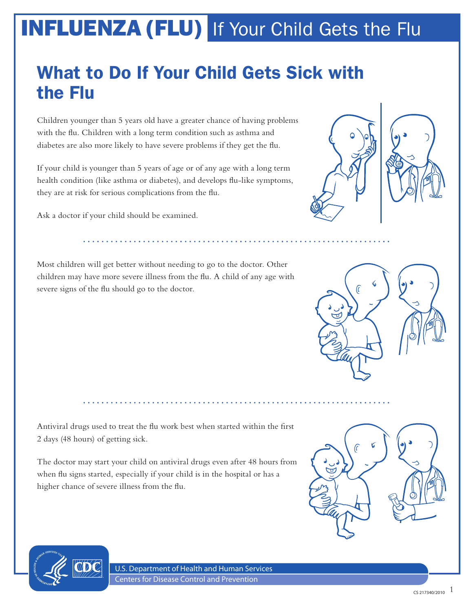#### What to Do If Your Child Gets Sick with the Flu

Children younger than 5 years old have a greater chance of having problems with the flu. Children with a long term condition such as asthma and diabetes are also more likely to have severe problems if they get the flu.

If your child is younger than 5 years of age or of any age with a long term health condition (like asthma or diabetes), and develops flu-like symptoms, they are at risk for serious complications from the flu.

Ask a doctor if your child should be examined.

Most children will get better without needing to go to the doctor. Other children may have more severe illness from the flu. A child of any age with severe signs of the flu should go to the doctor.

Antiviral drugs used to treat the flu work best when started within the first 2 days (48 hours) of getting sick.

The doctor may start your child on antiviral drugs even after 48 hours from when flu signs started, especially if your child is in the hospital or has a higher chance of severe illness from the flu.



U.S. Department of Health and Human Services Centers for Disease Control and Prevention





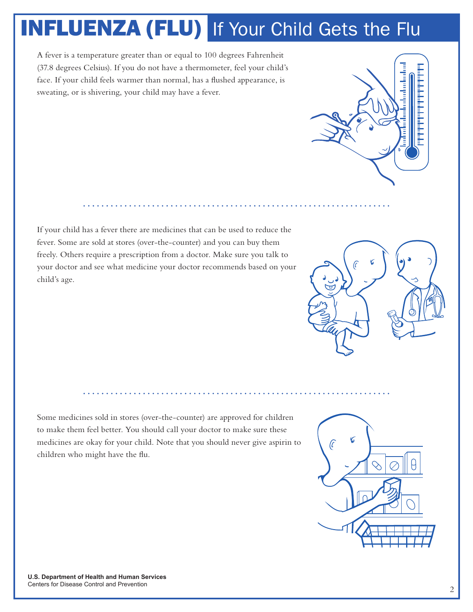A fever is a temperature greater than or equal to 100 degrees Fahrenheit (37.8 degrees Celsius). If you do not have a thermometer, feel your child's face. If your child feels warmer than normal, has a flushed appearance, is sweating, or is shivering, your child may have a fever.



If your child has a fever there are medicines that can be used to reduce the fever. Some are sold at stores (over-the-counter) and you can buy them freely. Others require a prescription from a doctor. Make sure you talk to your doctor and see what medicine your doctor recommends based on your child's age.



Some medicines sold in stores (over-the-counter) are approved for children to make them feel better. You should call your doctor to make sure these medicines are okay for your child. Note that you should never give aspirin to children who might have the flu.

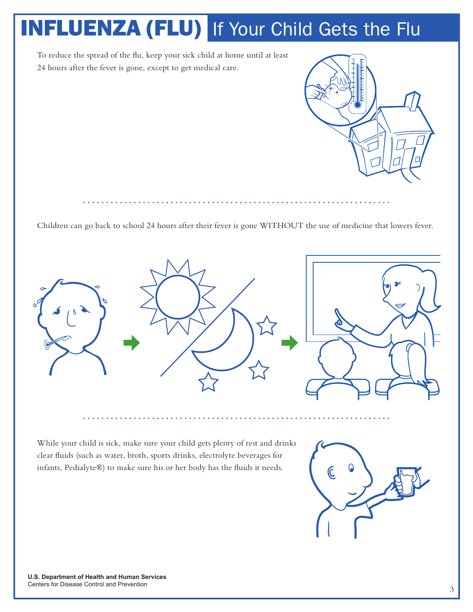To reduce the spread of the flu, keep your sick child at home until at least 24 hours after the fever is gone, except to get medical care.



Children can go back to school 24 hours after their fever is gone WITHOUT the use of medicine that lowers fever.



While your child is sick, make sure your child gets plenty of rest and drinks clear fluids (such as water, broth, sports drinks, electrolyte beverages for infants, Pedialyte®) to make sure his or her body has the fluids it needs.